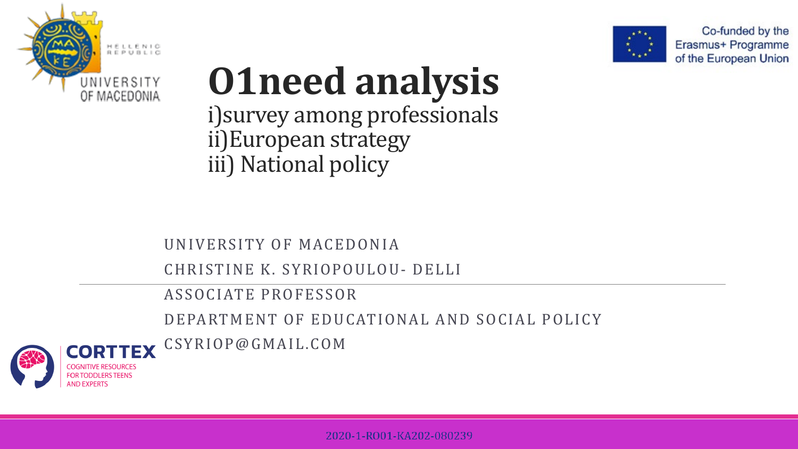



Co-funded by the Erasmus+ Programme of the European Union

## **O1need analysis** i)survey among professionals ii)European strategy

iii) National policy

UNIVERSITY OF MACEDONIA

CHRISTINE K. SYRIOPOULOU- DELLI

ASSOCIATE PROFESSOR

DEPARTMENT OF EDUCATIONAL AND SOCIAL POLICY





**FOR TODDI FRS TEENS**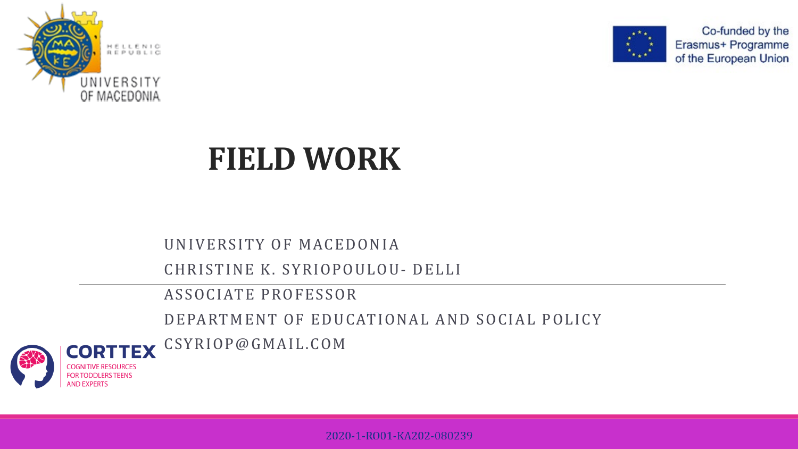



Co-funded by the Erasmus+ Programme of the European Union

## **FIELD WORK**

UNIVERSITY OF MACEDONIA

CHRISTINE K. SYRIOPOULOU- DELLI

ASSOCIATE PROFESSOR

DEPARTMENT OF EDUCATIONAL AND SOCIAL POLICY





2020-1-RO01-KA202-080239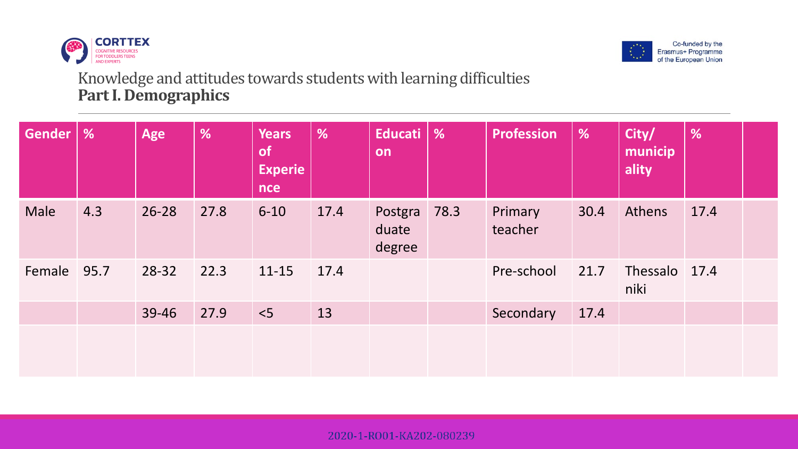



## Knowledge and attitudes towards students with learning difficulties **Part I. Demographics**

| <b>Gender</b> | $\frac{9}{6}$ | Age       | %    | <b>Years</b><br><b>of</b><br><b>Experie</b><br><b>nce</b> | %    | Educati<br>on              | $\frac{9}{6}$ | <b>Profession</b>  | %    | City/<br>municip<br>ality | %    |  |
|---------------|---------------|-----------|------|-----------------------------------------------------------|------|----------------------------|---------------|--------------------|------|---------------------------|------|--|
| Male          | 4.3           | $26 - 28$ | 27.8 | $6 - 10$                                                  | 17.4 | Postgra<br>duate<br>degree | 78.3          | Primary<br>teacher | 30.4 | Athens                    | 17.4 |  |
| Female        | 95.7          | 28-32     | 22.3 | $11 - 15$                                                 | 17.4 |                            |               | Pre-school         | 21.7 | Thessalo 17.4<br>niki     |      |  |
|               |               | 39-46     | 27.9 | $<$ 5                                                     | 13   |                            |               | Secondary          | 17.4 |                           |      |  |
|               |               |           |      |                                                           |      |                            |               |                    |      |                           |      |  |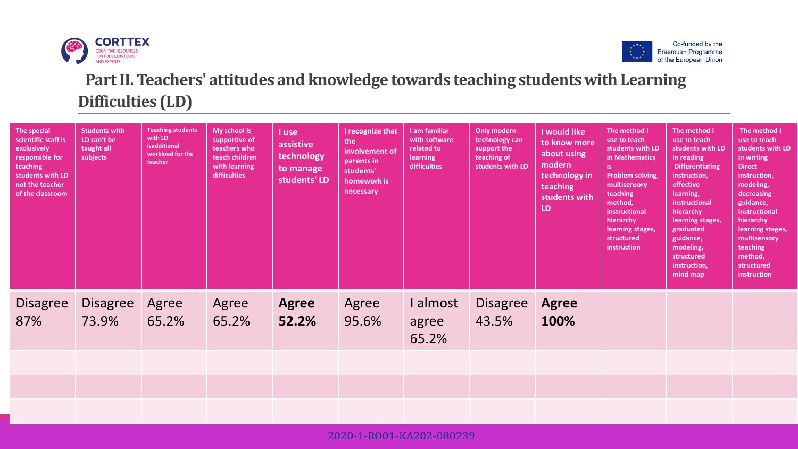



## **Part II. Teachers' attitudes and knowledge towards teaching students with Learning Difficulties (LD)**

| The special<br>scientific staff is<br>exclusively<br>responsible for<br>teaching<br>students with LD<br>not the teacher<br>of the classroom | <b>Students with</b><br>LD can't be<br>taught all<br>subjects | <b>Teaching students</b><br>with LD<br>isadditional<br>workload for the<br>teacher | My school is<br>supportive of<br>teachers who<br>teach children<br>with learning<br>difficulties | I use<br>assistive<br>technology<br>to manage<br>students' LD | I recognize that<br>the<br>involvement of<br>parents in<br>students'<br>homework is<br>necessary | I am familiar<br>with software<br>related to<br>learning<br>difficulties | Only modern<br>technology can<br>support the<br>teaching of<br>students with LD | <b>I</b> would like<br>to know more<br>about using<br>modern<br>technology in<br>teaching<br>students with<br>LD | The method I<br>use to teach<br>students with LD<br>in Mathematics<br>is.<br>Problem solving,<br>multisensory<br>teaching<br>method,<br>instructional<br>hierarchy<br>learning stages,<br>structured<br>instruction | The method I<br>use to teach<br>students with LD<br>in reading<br><b>Differentiating</b><br>instruction,<br>effective<br>learning,<br>instructional<br>hierarchy<br>learning stages,<br>graduated<br>guidance,<br>modeling,<br>structured<br>instruction,<br>mind map | The method I<br>use to teach<br>students with LD<br>in writing<br><b>Direct</b><br>instruction,<br>modeling,<br>decreasing<br>guidance,<br>instructional<br>hierarchy<br>learning stages,<br>multisensory<br>teaching<br>method,<br>structured<br>instruction |
|---------------------------------------------------------------------------------------------------------------------------------------------|---------------------------------------------------------------|------------------------------------------------------------------------------------|--------------------------------------------------------------------------------------------------|---------------------------------------------------------------|--------------------------------------------------------------------------------------------------|--------------------------------------------------------------------------|---------------------------------------------------------------------------------|------------------------------------------------------------------------------------------------------------------|---------------------------------------------------------------------------------------------------------------------------------------------------------------------------------------------------------------------|-----------------------------------------------------------------------------------------------------------------------------------------------------------------------------------------------------------------------------------------------------------------------|---------------------------------------------------------------------------------------------------------------------------------------------------------------------------------------------------------------------------------------------------------------|
| Disagree<br>87%                                                                                                                             | <b>Disagree</b><br>73.9%                                      | Agree<br>65.2%                                                                     | Agree<br>65.2%                                                                                   | <b>Agree</b><br>52.2%                                         | Agree<br>95.6%                                                                                   | I almost<br>agree<br>65.2%                                               | <b>Disagree</b><br>43.5%                                                        | <b>Agree</b><br>100%                                                                                             |                                                                                                                                                                                                                     |                                                                                                                                                                                                                                                                       |                                                                                                                                                                                                                                                               |
|                                                                                                                                             |                                                               |                                                                                    |                                                                                                  |                                                               |                                                                                                  |                                                                          |                                                                                 |                                                                                                                  |                                                                                                                                                                                                                     |                                                                                                                                                                                                                                                                       |                                                                                                                                                                                                                                                               |
|                                                                                                                                             |                                                               |                                                                                    |                                                                                                  |                                                               |                                                                                                  |                                                                          |                                                                                 |                                                                                                                  |                                                                                                                                                                                                                     |                                                                                                                                                                                                                                                                       |                                                                                                                                                                                                                                                               |
|                                                                                                                                             |                                                               |                                                                                    |                                                                                                  |                                                               |                                                                                                  |                                                                          |                                                                                 |                                                                                                                  |                                                                                                                                                                                                                     |                                                                                                                                                                                                                                                                       |                                                                                                                                                                                                                                                               |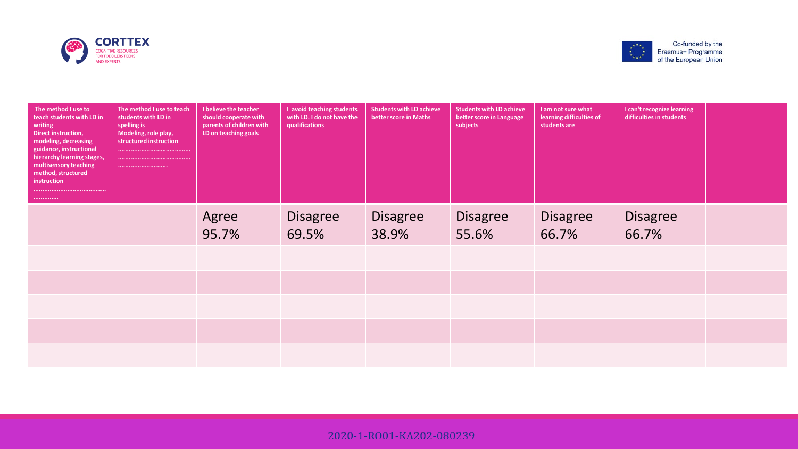



| The method I use to<br>teach students with LD in<br>writing<br><b>Direct instruction,</b><br>modeling, decreasing<br>guidance, instructional<br>hierarchy learning stages,<br>multisensory teaching<br>method, structured<br>instruction<br> | The method I use to teach<br>students with LD in<br>spelling is<br>Modeling, role play,<br>structured instruction<br> | I believe the teacher<br>should cooperate with<br>parents of children with<br>LD on teaching goals | I avoid teaching students<br>with LD. I do not have the<br>qualifications | <b>Students with LD achieve</b><br>better score in Maths | <b>Students with LD achieve</b><br>better score in Language<br>subjects | I am not sure what<br>learning difficulties of<br>students are | I can't recognize learning<br>difficulties in students |  |
|----------------------------------------------------------------------------------------------------------------------------------------------------------------------------------------------------------------------------------------------|-----------------------------------------------------------------------------------------------------------------------|----------------------------------------------------------------------------------------------------|---------------------------------------------------------------------------|----------------------------------------------------------|-------------------------------------------------------------------------|----------------------------------------------------------------|--------------------------------------------------------|--|
|                                                                                                                                                                                                                                              |                                                                                                                       | Agree<br>95.7%                                                                                     | <b>Disagree</b><br>69.5%                                                  | <b>Disagree</b><br>38.9%                                 | <b>Disagree</b><br>55.6%                                                | <b>Disagree</b><br>66.7%                                       | <b>Disagree</b><br>66.7%                               |  |
|                                                                                                                                                                                                                                              |                                                                                                                       |                                                                                                    |                                                                           |                                                          |                                                                         |                                                                |                                                        |  |
|                                                                                                                                                                                                                                              |                                                                                                                       |                                                                                                    |                                                                           |                                                          |                                                                         |                                                                |                                                        |  |
|                                                                                                                                                                                                                                              |                                                                                                                       |                                                                                                    |                                                                           |                                                          |                                                                         |                                                                |                                                        |  |
|                                                                                                                                                                                                                                              |                                                                                                                       |                                                                                                    |                                                                           |                                                          |                                                                         |                                                                |                                                        |  |
|                                                                                                                                                                                                                                              |                                                                                                                       |                                                                                                    |                                                                           |                                                          |                                                                         |                                                                |                                                        |  |

2020-1-RO01-KA202-080239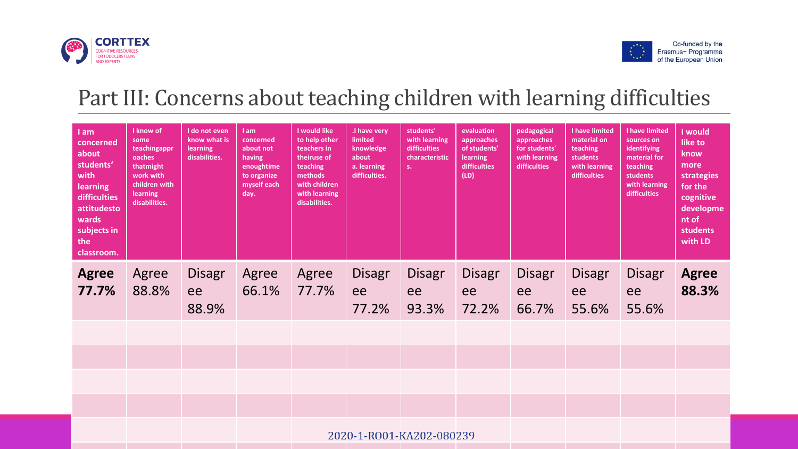



## Part III: Concerns about teaching children with learning difficulties

| I am<br>concerned<br>about<br>students'<br>with<br>learning<br>difficulties<br>attitudesto<br>wards<br>subjects in<br>the<br>classroom. | I know of<br>some<br>teachingappr<br>oaches<br>thatmight<br>work with<br>children with<br><b>learning</b><br>disabilities. | I do not even<br>know what is<br>learning<br>disabilities. | I am<br>concerned<br>about not<br>having<br>enoughtime<br>to organize<br>myself each<br>day. | I would like<br>to help other<br>teachers in<br>theiruse of<br>teaching<br>methods<br>with children<br>with learning<br>disabilities. | .I have very<br>limited<br>knowledge<br>about<br>a. learning<br>difficulties. | students'<br>with learning<br>difficulties<br>characteristic<br>s. | evaluation<br>approaches<br>of students'<br>learning<br><b>difficulties</b><br>(LD) | pedagogical<br>approaches<br>for students'<br>with learning<br>difficulties | I have limited<br>material on<br>teaching<br>students<br>with learning<br>difficulties | I have limited<br>sources on<br>identifying<br>material for<br>teaching<br>students<br>with learning<br>difficulties | I would<br>like to<br>know<br>more<br>strategies<br>for the<br>cognitive<br>developme<br>nt of<br>students<br>with LD |
|-----------------------------------------------------------------------------------------------------------------------------------------|----------------------------------------------------------------------------------------------------------------------------|------------------------------------------------------------|----------------------------------------------------------------------------------------------|---------------------------------------------------------------------------------------------------------------------------------------|-------------------------------------------------------------------------------|--------------------------------------------------------------------|-------------------------------------------------------------------------------------|-----------------------------------------------------------------------------|----------------------------------------------------------------------------------------|----------------------------------------------------------------------------------------------------------------------|-----------------------------------------------------------------------------------------------------------------------|
| <b>Agree</b><br>77.7%                                                                                                                   | Agree<br>88.8%                                                                                                             | <b>Disagr</b><br>ee<br>88.9%                               | Agree<br>66.1%                                                                               | Agree<br>77.7%                                                                                                                        | <b>Disagr</b><br>ee<br>77.2%                                                  | <b>Disagr</b><br>ee<br>93.3%                                       | <b>Disagr</b><br>ee<br>72.2%                                                        | <b>Disagr</b><br>ee<br>66.7%                                                | <b>Disagr</b><br>ee<br>55.6%                                                           | <b>Disagr</b><br>ee<br>55.6%                                                                                         | <b>Agree</b><br>88.3%                                                                                                 |
|                                                                                                                                         |                                                                                                                            |                                                            |                                                                                              |                                                                                                                                       |                                                                               |                                                                    |                                                                                     |                                                                             |                                                                                        |                                                                                                                      |                                                                                                                       |
|                                                                                                                                         |                                                                                                                            |                                                            |                                                                                              |                                                                                                                                       |                                                                               |                                                                    |                                                                                     |                                                                             |                                                                                        |                                                                                                                      |                                                                                                                       |
|                                                                                                                                         |                                                                                                                            |                                                            |                                                                                              |                                                                                                                                       |                                                                               |                                                                    |                                                                                     |                                                                             |                                                                                        |                                                                                                                      |                                                                                                                       |
|                                                                                                                                         |                                                                                                                            |                                                            |                                                                                              |                                                                                                                                       |                                                                               |                                                                    |                                                                                     |                                                                             |                                                                                        |                                                                                                                      |                                                                                                                       |
|                                                                                                                                         |                                                                                                                            |                                                            |                                                                                              |                                                                                                                                       |                                                                               | 2020-1-RO01-KA202-080239                                           |                                                                                     |                                                                             |                                                                                        |                                                                                                                      |                                                                                                                       |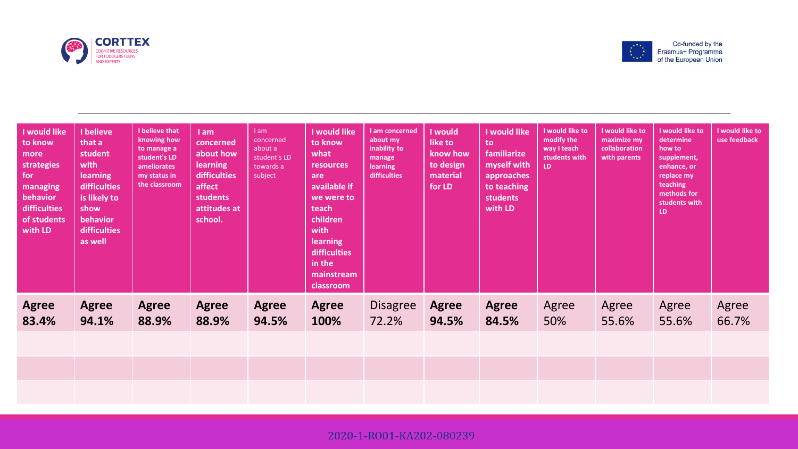



| I would like<br>to know<br>more<br>strategies<br>for<br>managing<br>behavior<br>difficulties<br>of students<br>with LD | I believe<br>that a<br>student<br>with<br><b>learning</b><br>difficulties<br>is likely to<br>show<br>behavior<br>difficulties<br>as well | I believe that<br>knowing how<br>to manage a<br>student's LD<br><b>ameliorates</b><br>my status in<br>the classroom | I am<br>concerned<br>about how<br><b>learning</b><br>difficulties<br>affect<br><b>students</b><br>attitudes at<br>school. | 1am<br>concerned<br>about a<br>student's LD<br>towards a<br>subject | I would like<br>to know<br>what<br><b>resources</b><br>are<br>available if<br>we were to<br>teach<br>children<br>with<br><b>learning</b><br><b>difficulties</b><br>in the<br>mainstream<br>classroom | I am concerned<br>about my<br>inability to<br>manage<br>learning<br>difficulties | I would<br>like to<br>know how<br>to design<br>material<br>for LD | I would like<br>to<br>familiarize<br>myself with<br>approaches<br>to teaching<br>students<br>with LD | I would like to<br>modify the<br>way I teach<br>students with<br>LD. | I would like to<br>maximize my<br>collaboration<br>with parents | I would like to<br>determine<br>how to<br>supplement,<br>enhance, or<br>replace my<br>teaching<br>methods for<br>students with<br>LD. | I would like to<br>use feedback |
|------------------------------------------------------------------------------------------------------------------------|------------------------------------------------------------------------------------------------------------------------------------------|---------------------------------------------------------------------------------------------------------------------|---------------------------------------------------------------------------------------------------------------------------|---------------------------------------------------------------------|------------------------------------------------------------------------------------------------------------------------------------------------------------------------------------------------------|----------------------------------------------------------------------------------|-------------------------------------------------------------------|------------------------------------------------------------------------------------------------------|----------------------------------------------------------------------|-----------------------------------------------------------------|---------------------------------------------------------------------------------------------------------------------------------------|---------------------------------|
| <b>Agree</b><br>83.4%                                                                                                  | <b>Agree</b><br>94.1%                                                                                                                    | <b>Agree</b><br>88.9%                                                                                               | <b>Agree</b><br>88.9%                                                                                                     | <b>Agree</b><br>94.5%                                               | <b>Agree</b><br>100%                                                                                                                                                                                 | <b>Disagree</b><br>72.2%                                                         | <b>Agree</b><br>94.5%                                             | <b>Agree</b><br>84.5%                                                                                | Agree<br>50%                                                         | Agree<br>55.6%                                                  | Agree<br>55.6%                                                                                                                        | Agree<br>66.7%                  |
|                                                                                                                        |                                                                                                                                          |                                                                                                                     |                                                                                                                           |                                                                     |                                                                                                                                                                                                      |                                                                                  |                                                                   |                                                                                                      |                                                                      |                                                                 |                                                                                                                                       |                                 |
|                                                                                                                        |                                                                                                                                          |                                                                                                                     |                                                                                                                           |                                                                     |                                                                                                                                                                                                      |                                                                                  |                                                                   |                                                                                                      |                                                                      |                                                                 |                                                                                                                                       |                                 |

2020-1-RO01-KA202-080239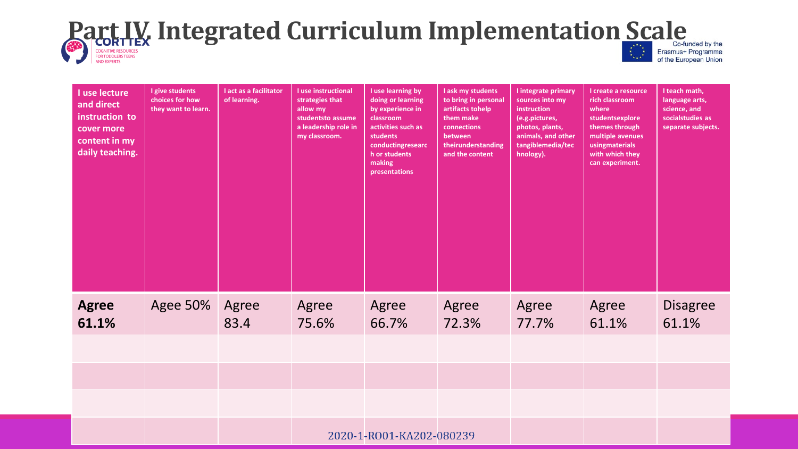# **Part IV. Integrated Curriculum Implementation Scale**

**AND EXPERTS** 

of the European Union

| I use lecture<br>and direct<br>instruction to<br>cover more<br>content in my<br>daily teaching. | I give students<br>choices for how<br>they want to learn. | I act as a facilitator<br>of learning. | I use instructional<br>strategies that<br>allow my<br>studentsto assume<br>a leadership role in<br>my classroom. | I use learning by<br>doing or learning<br>by experience in<br>classroom<br>activities such as<br>students<br>conductingresearc<br>h or students<br>making<br>presentations | I ask my students<br>to bring in personal<br>artifacts tohelp<br>them make<br>connections<br>between<br>theirunderstanding<br>and the content | I integrate primary<br>sources into my<br>instruction<br>(e.g.pictures,<br>photos, plants,<br>animals, and other<br>tangiblemedia/tec<br>hnology). | I create a resource<br>rich classroom<br>where<br>studentsexplore<br>themes through<br>multiple avenues<br>usingmaterials<br>with which they<br>can experiment. | I teach math,<br>language arts,<br>science, and<br>socialstudies as<br>separate subjects. |
|-------------------------------------------------------------------------------------------------|-----------------------------------------------------------|----------------------------------------|------------------------------------------------------------------------------------------------------------------|----------------------------------------------------------------------------------------------------------------------------------------------------------------------------|-----------------------------------------------------------------------------------------------------------------------------------------------|----------------------------------------------------------------------------------------------------------------------------------------------------|-----------------------------------------------------------------------------------------------------------------------------------------------------------------|-------------------------------------------------------------------------------------------|
| <b>Agree</b><br>61.1%                                                                           | <b>Agee 50%</b>                                           | Agree<br>83.4                          | Agree<br>75.6%                                                                                                   | Agree<br>66.7%                                                                                                                                                             | Agree<br>72.3%                                                                                                                                | Agree<br>77.7%                                                                                                                                     | Agree<br>61.1%                                                                                                                                                  | <b>Disagree</b><br>61.1%                                                                  |
|                                                                                                 |                                                           |                                        |                                                                                                                  |                                                                                                                                                                            |                                                                                                                                               |                                                                                                                                                    |                                                                                                                                                                 |                                                                                           |
|                                                                                                 |                                                           |                                        |                                                                                                                  |                                                                                                                                                                            |                                                                                                                                               |                                                                                                                                                    |                                                                                                                                                                 |                                                                                           |
|                                                                                                 |                                                           |                                        |                                                                                                                  |                                                                                                                                                                            |                                                                                                                                               |                                                                                                                                                    |                                                                                                                                                                 |                                                                                           |
|                                                                                                 |                                                           |                                        |                                                                                                                  | 2020-1-RO01-KA202-080239                                                                                                                                                   |                                                                                                                                               |                                                                                                                                                    |                                                                                                                                                                 |                                                                                           |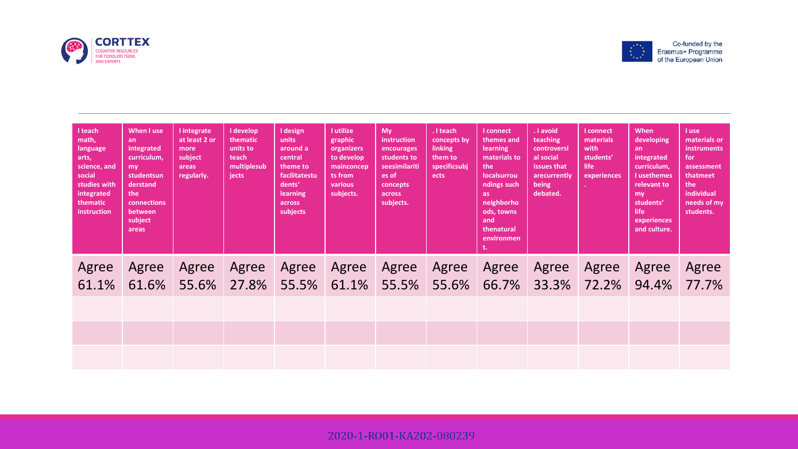



| I teach<br>math,<br>language<br>arts,<br>science, and<br>social<br>studies with<br>integrated<br>thematic<br>instruction | When I use<br>an<br>integrated<br>curriculum.<br>my<br>studentsun<br>derstand<br>the<br>connections<br>between<br>subject<br>areas | I integrate<br>at least 2 or<br>more<br>subject<br>areas<br>regularly. | I develop<br>thematic<br>units to<br>teach<br>multiplesub<br>jects | I design<br>units<br>around a<br>central<br>theme to<br>facilitatestu<br>dents'<br>learning<br>across<br>subjects | <b>Lutilize</b><br>graphic<br>organizers<br>to develop<br>mainconcep<br>ts from<br>various<br>subjects. | My<br><i>instruction</i><br>encourages<br>students to<br>seesimilariti<br>es of<br>concepts<br>across<br>subjects. | $\overline{a}$ teach<br>concepts by<br>linking<br>them to<br>specificsubj<br>ects | I connect<br>themes and<br>learning<br>materials to<br>the<br>localsurrou<br>ndings such<br>as:<br>neighborho<br>ods, towns<br>and<br>thenatural<br>environmen<br>t. | . I avoid<br>teaching<br>controversi<br>al social<br>issues that<br>arecurrently<br>being<br>debated. | <b>I</b> connect<br>materials<br>with<br>students'<br>life<br>experiences | When<br>developing<br>an<br>integrated<br>curriculum,<br><b>Lusethemes</b><br>relevant to<br>mv<br>students'<br>life<br>experiences<br>and culture. | I use<br>materials or<br><b>instruments</b><br>for<br>assessment<br>thatmeet<br>the<br>individual<br>needs of my<br>students. |
|--------------------------------------------------------------------------------------------------------------------------|------------------------------------------------------------------------------------------------------------------------------------|------------------------------------------------------------------------|--------------------------------------------------------------------|-------------------------------------------------------------------------------------------------------------------|---------------------------------------------------------------------------------------------------------|--------------------------------------------------------------------------------------------------------------------|-----------------------------------------------------------------------------------|----------------------------------------------------------------------------------------------------------------------------------------------------------------------|-------------------------------------------------------------------------------------------------------|---------------------------------------------------------------------------|-----------------------------------------------------------------------------------------------------------------------------------------------------|-------------------------------------------------------------------------------------------------------------------------------|
| Agree<br>61.1%                                                                                                           | Agree<br>61.6%                                                                                                                     | Agree<br>55.6%                                                         | Agree<br>27.8%                                                     | Agree                                                                                                             | Agree                                                                                                   | Agree<br>55.5% 61.1% 55.5% 55.6%                                                                                   | Agree                                                                             | Agree                                                                                                                                                                | Agree<br>66.7% 33.3% 72.2%                                                                            | Agree                                                                     | Agree<br>94.4%                                                                                                                                      | Agree<br>77.7%                                                                                                                |
|                                                                                                                          |                                                                                                                                    |                                                                        |                                                                    |                                                                                                                   |                                                                                                         |                                                                                                                    |                                                                                   |                                                                                                                                                                      |                                                                                                       |                                                                           |                                                                                                                                                     |                                                                                                                               |
|                                                                                                                          |                                                                                                                                    |                                                                        |                                                                    |                                                                                                                   |                                                                                                         |                                                                                                                    |                                                                                   |                                                                                                                                                                      |                                                                                                       |                                                                           |                                                                                                                                                     |                                                                                                                               |
|                                                                                                                          |                                                                                                                                    |                                                                        |                                                                    |                                                                                                                   |                                                                                                         |                                                                                                                    |                                                                                   |                                                                                                                                                                      |                                                                                                       |                                                                           |                                                                                                                                                     |                                                                                                                               |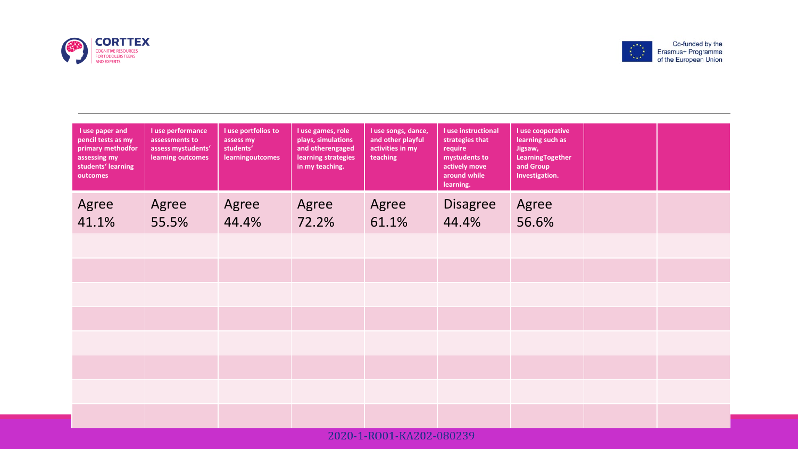



| I use paper and<br>pencil tests as my<br>primary methodfor<br>assessing my<br>students' learning<br>outcomes | I use performance<br>assessments to<br>assess mystudents'<br>learning outcomes | I use portfolios to<br>assess my<br>students'<br><b>learningoutcomes</b> | I use games, role<br>plays, simulations<br>and otherengaged<br>learning strategies<br>in my teaching. | I use songs, dance,<br>and other playful<br>activities in my<br>teaching | I use instructional<br>strategies that<br>require<br>mystudents to<br>actively move<br>around while<br>learning. | I use cooperative<br>learning such as<br>Jigsaw,<br>LearningTogether<br>and Group<br>Investigation. |  |
|--------------------------------------------------------------------------------------------------------------|--------------------------------------------------------------------------------|--------------------------------------------------------------------------|-------------------------------------------------------------------------------------------------------|--------------------------------------------------------------------------|------------------------------------------------------------------------------------------------------------------|-----------------------------------------------------------------------------------------------------|--|
| Agree                                                                                                        | Agree                                                                          | Agree                                                                    | Agree                                                                                                 | Agree                                                                    | <b>Disagree</b>                                                                                                  | Agree                                                                                               |  |
| 41.1%                                                                                                        | 55.5%                                                                          | 44.4%                                                                    | 72.2%                                                                                                 | 61.1%                                                                    | 44.4%                                                                                                            | 56.6%                                                                                               |  |
|                                                                                                              |                                                                                |                                                                          |                                                                                                       |                                                                          |                                                                                                                  |                                                                                                     |  |
|                                                                                                              |                                                                                |                                                                          |                                                                                                       |                                                                          |                                                                                                                  |                                                                                                     |  |
|                                                                                                              |                                                                                |                                                                          |                                                                                                       |                                                                          |                                                                                                                  |                                                                                                     |  |
|                                                                                                              |                                                                                |                                                                          |                                                                                                       |                                                                          |                                                                                                                  |                                                                                                     |  |
|                                                                                                              |                                                                                |                                                                          |                                                                                                       |                                                                          |                                                                                                                  |                                                                                                     |  |
|                                                                                                              |                                                                                |                                                                          |                                                                                                       |                                                                          |                                                                                                                  |                                                                                                     |  |
|                                                                                                              |                                                                                |                                                                          |                                                                                                       |                                                                          |                                                                                                                  |                                                                                                     |  |
|                                                                                                              |                                                                                |                                                                          |                                                                                                       |                                                                          |                                                                                                                  |                                                                                                     |  |
|                                                                                                              |                                                                                |                                                                          |                                                                                                       |                                                                          |                                                                                                                  |                                                                                                     |  |
|                                                                                                              |                                                                                |                                                                          |                                                                                                       |                                                                          |                                                                                                                  |                                                                                                     |  |

2020-1-RO01-KA202-080239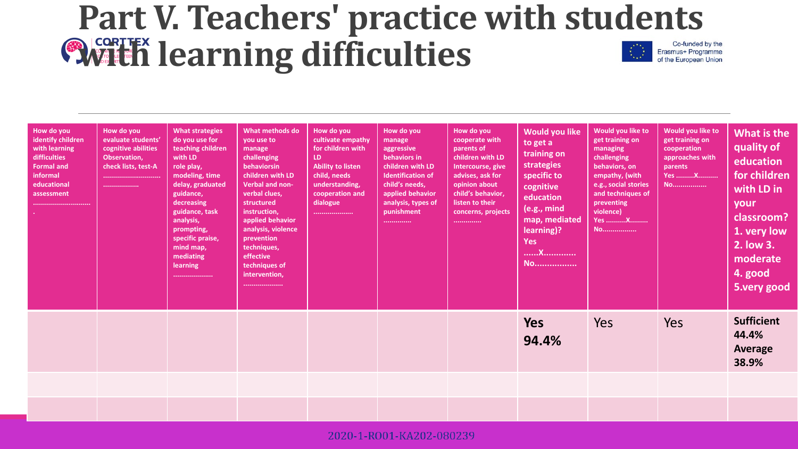### **Part V. Teachers' practice with students With learning difficulties** Co-funded by the Erasmus+ Programme of the European Union

| How do you<br>identify children<br>with learning<br>difficulties<br><b>Formal and</b><br>informal<br>educational<br>assessment | How do you<br>evaluate students'<br>cognitive abilities<br>Observation,<br>check lists, test-A<br><br> | <b>What strategies</b><br>do you use for<br>teaching children<br>with LD<br>role play,<br>modeling, time<br>delay, graduated<br>guidance,<br>decreasing<br>guidance, task<br>analysis,<br>prompting,<br>specific praise,<br>mind map,<br>mediating<br>learning<br>. | What methods do<br>you use to<br>manage<br>challenging<br>behaviorsin<br>children with LD<br>Verbal and non-<br>verbal clues,<br>structured<br>instruction,<br>applied behavior<br>analysis, violence<br>prevention<br>techniques,<br>effective<br>techniques of<br>intervention,<br>, <u>.</u> | How do you<br>cultivate empathy<br>for children with<br>LD.<br><b>Ability to listen</b><br>child, needs<br>understanding,<br>cooperation and<br>dialogue<br> | How do you<br>manage<br>aggressive<br>behaviors in<br>children with LD<br><b>Identification of</b><br>child's needs,<br>applied behavior<br>analysis, types of<br>punishment<br> | How do you<br>cooperate with<br>parents of<br>children with LD<br>Intercourse, give<br>advises, ask for<br>opinion about<br>child's behavior,<br>listen to their<br>concerns, projects<br> | Would you like<br>to get a<br>training on<br>strategies<br>specific to<br>cognitive<br>education<br>(e.g., mind<br>map, mediated<br>learning)?<br><b>Yes</b><br>X<br><b>No</b> | Would you like to<br>get training on<br>managing<br>challenging<br>behaviors, on<br>empathy, (with<br>e.g., social stories<br>and techniques of<br>preventing<br>violence)<br><b>Yes X</b><br><b>NO</b> | Would you like to<br>get training on<br>cooperation<br>approaches with<br>parents<br><b>Yes X</b><br><b>No</b> | What is the<br>quality of<br>education<br>for children<br>with LD in<br>your<br>classroom?<br>1. very low<br>2. low 3.<br>moderate<br>4. good<br>5.very good |
|--------------------------------------------------------------------------------------------------------------------------------|--------------------------------------------------------------------------------------------------------|---------------------------------------------------------------------------------------------------------------------------------------------------------------------------------------------------------------------------------------------------------------------|-------------------------------------------------------------------------------------------------------------------------------------------------------------------------------------------------------------------------------------------------------------------------------------------------|--------------------------------------------------------------------------------------------------------------------------------------------------------------|----------------------------------------------------------------------------------------------------------------------------------------------------------------------------------|--------------------------------------------------------------------------------------------------------------------------------------------------------------------------------------------|--------------------------------------------------------------------------------------------------------------------------------------------------------------------------------|---------------------------------------------------------------------------------------------------------------------------------------------------------------------------------------------------------|----------------------------------------------------------------------------------------------------------------|--------------------------------------------------------------------------------------------------------------------------------------------------------------|
|                                                                                                                                |                                                                                                        |                                                                                                                                                                                                                                                                     |                                                                                                                                                                                                                                                                                                 |                                                                                                                                                              |                                                                                                                                                                                  |                                                                                                                                                                                            | <b>Yes</b><br>94.4%                                                                                                                                                            | Yes                                                                                                                                                                                                     | Yes                                                                                                            | <b>Sufficient</b><br>44.4%<br><b>Average</b><br>38.9%                                                                                                        |
|                                                                                                                                |                                                                                                        |                                                                                                                                                                                                                                                                     |                                                                                                                                                                                                                                                                                                 |                                                                                                                                                              |                                                                                                                                                                                  |                                                                                                                                                                                            |                                                                                                                                                                                |                                                                                                                                                                                                         |                                                                                                                |                                                                                                                                                              |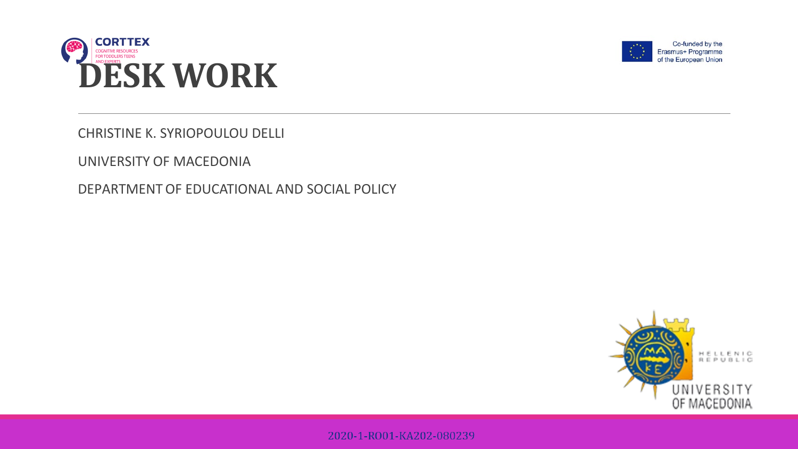



CHRISTINE K. SYRIOPOULOU DELLI

UNIVERSITY OF MACEDONIA

DEPARTMENTOF EDUCATIONAL AND SOCIAL POLICY



2020-1-RO01-KA202-080239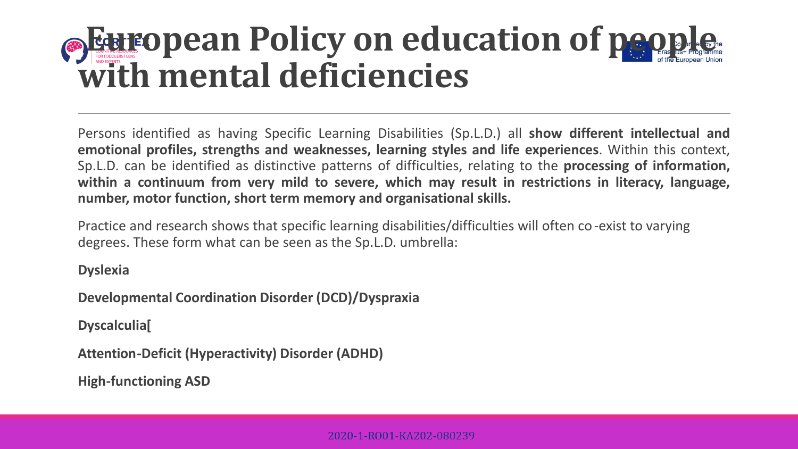## **European Policy on education of people with mental deficiencies**

Persons identified as having Specific Learning Disabilities (Sp.L.D.) all **show different intellectual and emotional profiles, strengths and weaknesses, learning styles and life experiences**. Within this context, Sp.L.D. can be identified as distinctive patterns of difficulties, relating to the **processing of information, within a continuum from very mild to severe, which may result in restrictions in literacy, language, number, motor function, short term memory and organisational skills.**

Practice and research shows that specific learning disabilities/difficulties will often co-exist to varying degrees. These form what can be seen as the Sp.L.D. umbrella:

### **Dyslexia**

**Developmental Coordination Disorder (DCD)/Dyspraxia**

**Dyscalculia[**

**Attention-Deficit (Hyperactivity) Disorder (ADHD)**

**High-functioning ASD**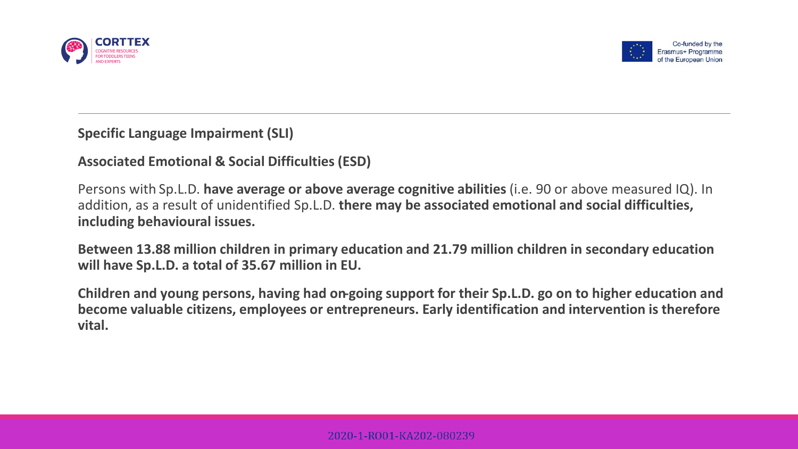



### **Specific Language Impairment (SLI)**

**Associated Emotional & Social Difficulties (ESD)**

Persons with Sp.L.D. **have average or above average cognitive abilities** (i.e. 90 or above measured IQ). In addition, as a result of unidentified Sp.L.D. **there may be associated emotional and social difficulties, including behavioural issues.**

**Between 13.88 million children in primary education and 21.79 million children in secondary education will have Sp.L.D. a total of 35.67 million in EU.**

**Children and young persons, having had on-going support for their Sp.L.D. go on to higher education and become valuable citizens, employees or entrepreneurs. Early identification and intervention is therefore vital.**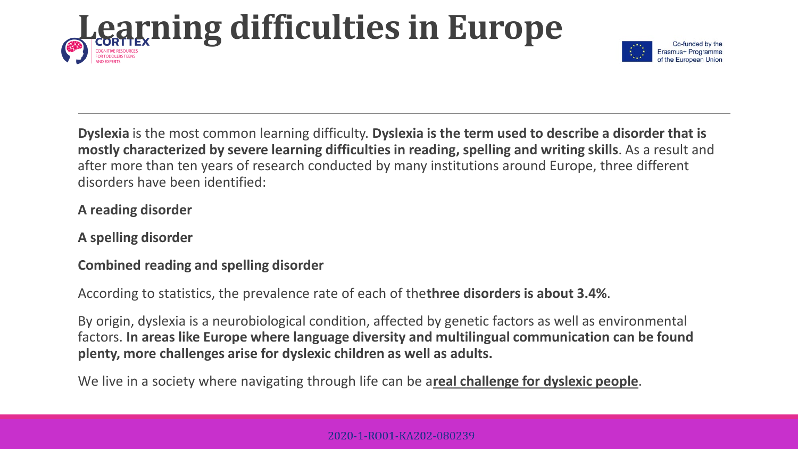

**Dyslexia** is the most common learning difficulty. **Dyslexia is the term used to describe a disorder that is mostly characterized by severe learning difficulties in reading, spelling and writing skills**. As a result and after more than ten years of research conducted by many institutions around Europe, three different disorders have been identified:

## **A reading disorder**

**A spelling disorder**

## **Combined reading and spelling disorder**

According to statistics, the prevalence rate of each of the**three disorders is about 3.4%**.

By origin, dyslexia is a neurobiological condition, affected by genetic factors as well as environmental factors. **In areas like Europe where language diversity and multilingual communication can be found plenty, more challenges arise for dyslexic children as well as adults.**

We live in a society where navigating through life can be areal challenge for dyslexic people.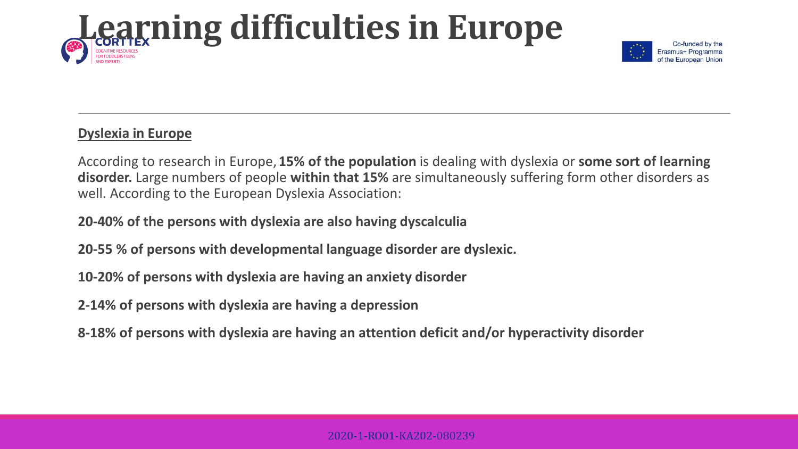

## **Dyslexia in Europe**

According to research in Europe,**15% of the population** is dealing with dyslexia or **some sort of learning disorder.** Large numbers of people **within that 15%** are simultaneously suffering form other disorders as well. According to the European Dyslexia Association:

**20-40% of the persons with dyslexia are also having dyscalculia**

**20-55 % of persons with developmental language disorder are dyslexic.**

**10-20% of persons with dyslexia are having an anxiety disorder**

**2-14% of persons with dyslexia are having a depression**

**8-18% of persons with dyslexia are having an attention deficit and/or hyperactivity disorder**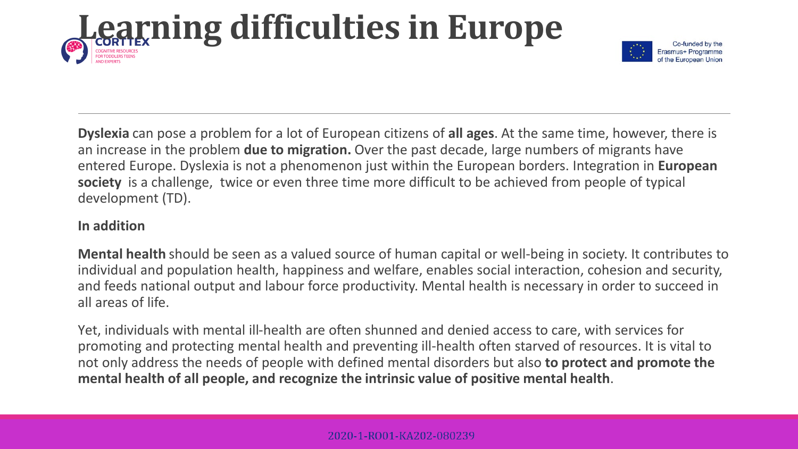

**Dyslexia** can pose a problem for a lot of European citizens of **all ages**. At the same time, however, there is an increase in the problem **due to migration.** Over the past decade, large numbers of migrants have entered Europe. Dyslexia is not a phenomenon just within the European borders. Integration in **European society** is a challenge, twice or even three time more difficult to be achieved from people of typical development (TD).

## **In addition**

**Mental health** should be seen as a valued source of human capital or well-being in society. It contributes to individual and population health, happiness and welfare, enables social interaction, cohesion and security, and feeds national output and labour force productivity. Mental health is necessary in order to succeed in all areas of life.

Yet, individuals with mental ill-health are often shunned and denied access to care, with services for promoting and protecting mental health and preventing ill-health often starved of resources. It is vital to not only address the needs of people with defined mental disorders but also **to protect and promote the mental health of all people, and recognize the intrinsic value of positive mental health**.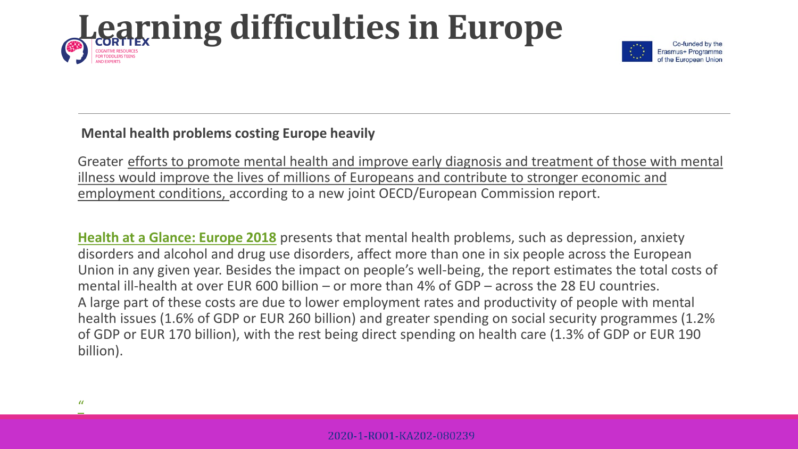

## **Mental health problems costing Europe heavily**

Greater efforts to promote mental health and improve early diagnosis and treatment of those with mental illness would improve the lives of millions of Europeans and contribute to stronger economic and employment conditions, according to a new joint OECD/European Commission report.

**[Health at a Glance: Europe 2018](https://www.oecd.org/health/health-at-a-glance-europe-23056088.htm)** presents that mental health problems, such as depression, anxiety disorders and alcohol and drug use disorders, affect more than one in six people across the European Union in any given year. Besides the impact on people's well-being, the report estimates the total costs of mental ill-health at over EUR 600 billion – or more than 4% of GDP – across the 28 EU countries. A large part of these costs are due to lower employment rates and productivity of people with mental health issues (1.6% of GDP or EUR 260 billion) and greater spending on social security programmes (1.2% of GDP or EUR 170 billion), with the rest being direct spending on health care (1.3% of GDP or EUR 190 billion).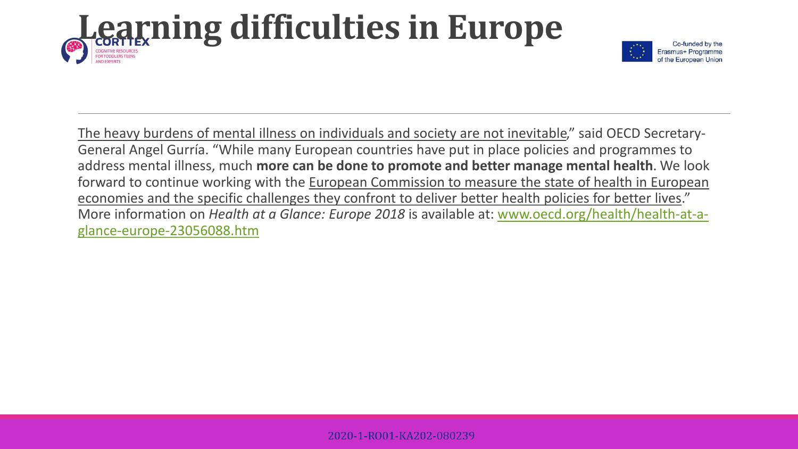

The heavy burdens of mental illness on individuals and society are not inevitable," said OECD Secretary-General Angel Gurría. "While many European countries have put in place policies and programmes to address mental illness, much **more can be done to promote and better manage mental health**. We look forward to continue working with the European Commission to measure the state of health in European economies and the specific challenges they confront to deliver better health policies for better lives." More information on *Health at a Glance: Europe 2018* is available at: [www.oecd.org/health/health-at-a](http://www.oecd.org/health/health-at-a-glance-europe-23056088.htm)glance-europe-23056088.htm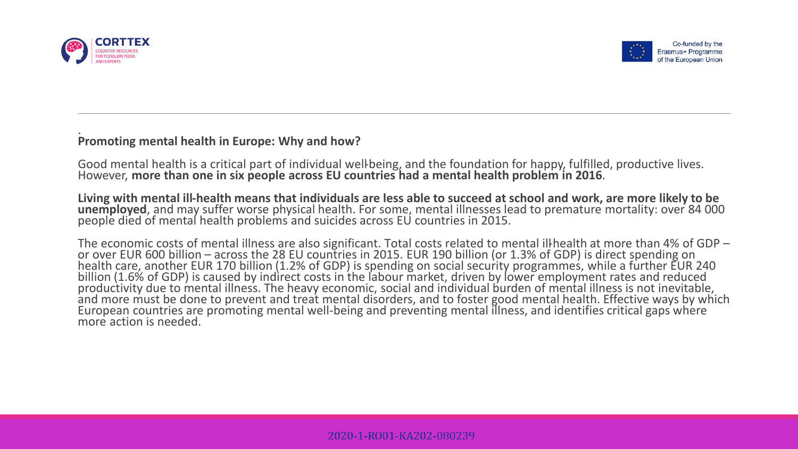



#### . **Promoting mental health in Europe: Why and how?**

Good mental health is a critical part of individual well-being, and the foundation for happy, fulfilled, productive lives. However, **more than one in six people across EU countries had a mental health problem in 2016**.

Living with mental ill-health means that individuals are less able to succeed at school and work, are more likely to be unemployed, and may suffer worse physical health. For some, mental illnesses lead to premature mortali

The economic costs of mental illness are also significant. Total costs related to mental ill-health at more than 4% of GDP –<br>or over EUR 600 billion – across the 28 EU countries in 2015. EUR 190 billion (or 1.3% of GDP) is billion (1.6% of GDP) is caused by indirect costs in the labour market, driven by lower employment rates and reduced<br>productivity due to mental illness. The heavy economic, social and individual burden of mental illness is and more must be done to prevent and treat mental disorders, and to foster good mental health. Effective ways by which European countries are promoting mental well-being and preventing mental illness, and identifies critical gaps where<br>more action is needed.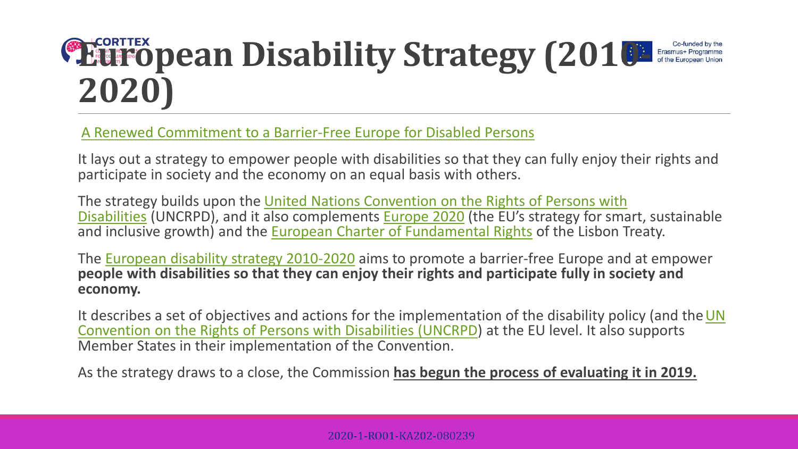## **EDENTEX DEAN Disability Strategy (2010-**Co-funded by the **2020)**

[A Renewed Commitment to a Barrier-Free Europe for Disabled Persons](https://eur-lex.europa.eu/legal-content/EN/AUTO/?uri=celex:52010DC0636)

It lays out a strategy to empower people with disabilities so that they can fully enjoy their rights and participate in society and the economy on an equal basis with others.

The strategy builds upon the United Nations Convention on the Rights of Persons with Disabilities (UNCRPD), and it also complements [Europe 2020](https://eur-lex.europa.eu/legal-content/EN/AUTO/?uri=uriserv:em0028) (the EU's strategy for smart, sustainable and inclusive growth) and the [European Charter of Fundamental Rights](https://eur-lex.europa.eu/legal-content/EN/AUTO/?uri=uriserv:l33501) of the Lisbon Treaty.

The [European disability strategy 2010-2020](https://eur-lex.europa.eu/legal-content/EN/TXT/?uri=LEGISSUM:em0047) aims to promote a barrier-free Europe and at empower **people with disabilities so that they can enjoy their rights and participate fully in society and economy.**

It describes a set of objectives and actions for the implementation of the disability policy (and the UN Convention on the Rights of Persons with Disabilities (UNCRPD) at the EU level. It also supports Member States in their implementation of the Convention.

As the strategy draws to a close, the Commission **has begun the process of evaluating it in 2019.**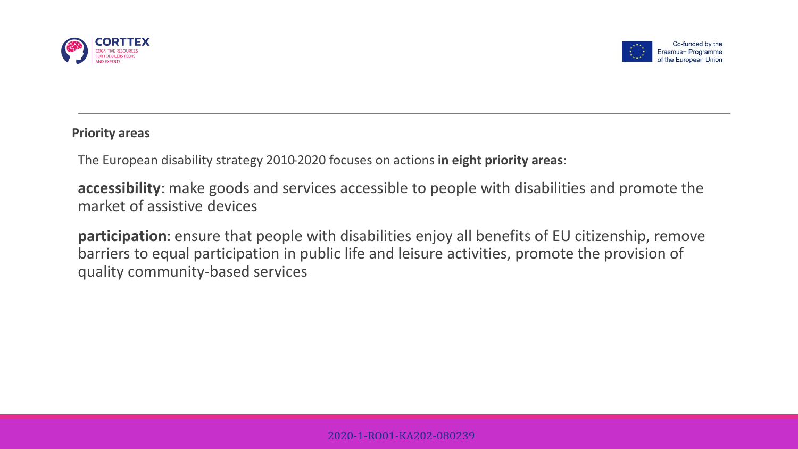



### **Priority areas**

The European disability strategy 2010-2020 focuses on actions **in eight priority areas**:

**accessibility**: make goods and services accessible to people with disabilities and promote the market of assistive devices

**participation**: ensure that people with disabilities enjoy all benefits of EU citizenship, remove barriers to equal participation in public life and leisure activities, promote the provision of quality community-based services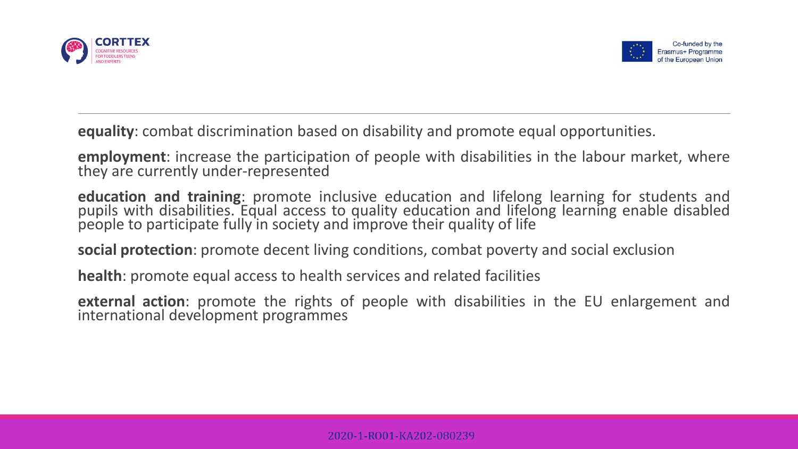



**equality**: combat discrimination based on disability and promote equal opportunities.

**employment**: increase the participation of people with disabilities in the labour market, where they are currently under-represented

**education and training**: promote inclusive education and lifelong learning for students and pupils with disabilities. Equal access to quality education and lifelong learning enable disabled people to participate fully in society and improve their quality of life

**social protection**: promote decent living conditions, combat poverty and social exclusion

**health**: promote equal access to health services and related facilities

**external action**: promote the rights of people with disabilities in the EU enlargement and international development programmes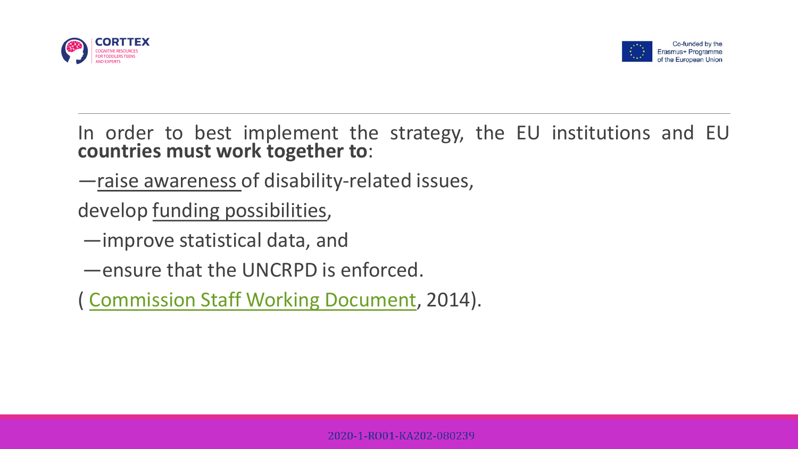



In order to best implement the strategy, the EU institutions and EU **countries must work together to**:

—raise awareness of disability-related issues,

develop funding possibilities,

—improve statistical data, and

—ensure that the UNCRPD is enforced.

( [Commission Staff Working Document](http://ec.europa.eu/justice/discrimination/files/swd_2014_182_en.pdf), 2014).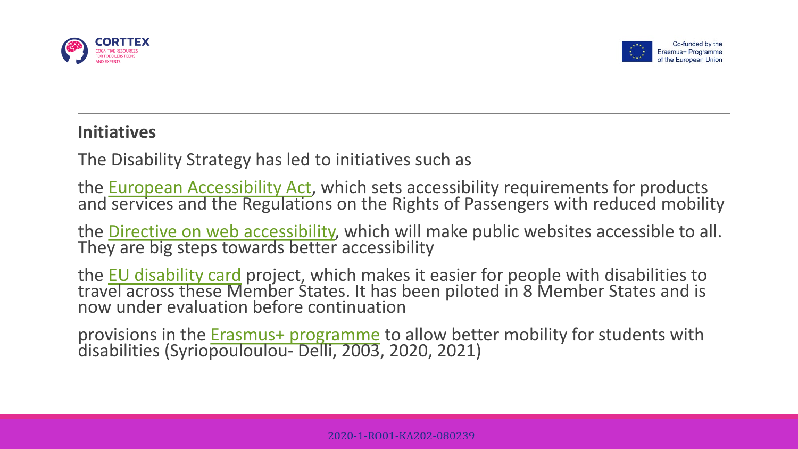



## **Initiatives**

The Disability Strategy has led to initiatives such as

the [European Accessibility Act,](https://eur-lex.europa.eu/legal-content/EN/TXT/?uri=COM:2015:0615:FIN) which sets accessibility requirements for products and [services and the Regulatio](https://eur-lex.europa.eu/legal-content/EN/TXT/?uri=COM:2015:0615:FIN)ns on the Rights of Passengers with reduced mobility

the [Directive on web accessibility,](https://eur-lex.europa.eu/legal-content/EN/TXT/?uri=uriserv:OJ.L_.2016.327.01.0001.01.ENG&toc=OJ:L:2016:327:TOC) which will make public websites accessible to all.<br>The[y](https://eur-lex.europa.eu/legal-content/EN/TXT/?uri=uriserv:OJ.L_.2016.327.01.0001.01.ENG&toc=OJ:L:2016:327:TOC) are big steps towards better accessibility

the EU disability card project, which makes it easier for people with disabilities to<br>trav[el across these M](http://ec.europa.eu/social/main.jsp?catId=1139&langId=en)ember States. It has been piloted in 8 Member States and is now under evaluation before continuation

provisions in the Erasmus+ programme to allow better mobility for students with disabilities (Syrio[pouloulou-](http://ec.europa.eu/programmes/erasmus-plus/node_en) Delli, 2003, 2020, 2021)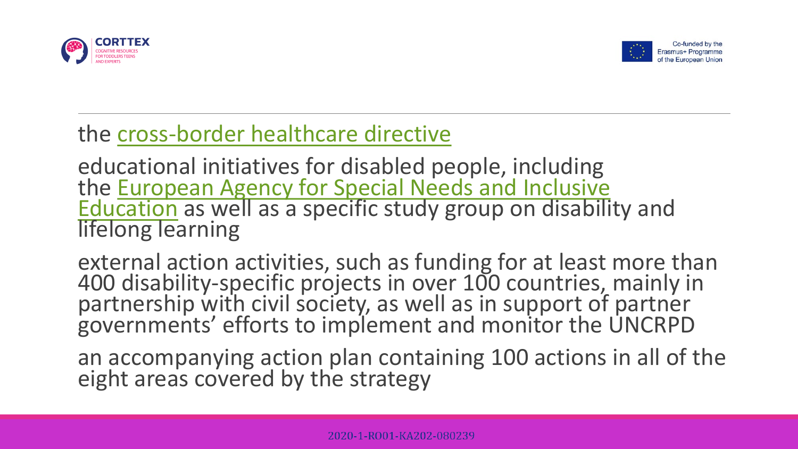



## the [cross-border](http://ec.europa.eu/health/cross_border_care/policy_en) healthcare directive

educational initiatives for disabled people, including the <u>European Agency for Special Needs and Inclusive</u><br>Education as well as a specific study group on disability and<br>lifelong learning

external action activities, such as funding for at least more than 400 disability-specific projects in over 100 countries, mainly in partnership with civil society, as well as in support of partner governments' efforts to implement and monitor the UNCRPD

an accompanying action plan containing 100 actions in all of the eight areas covered by the strategy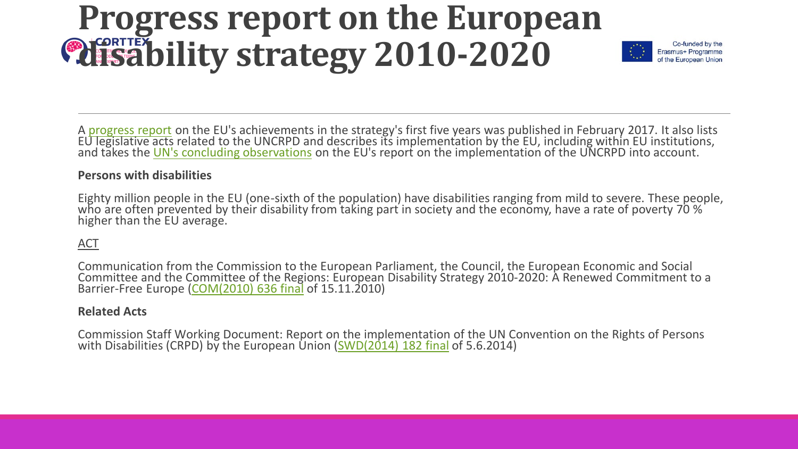## **Progress report on the European disability strategy 2010-2020**



A [progress report](http://ec.europa.eu/social/BlobServlet?docId=16995&langId=en) on the EU's achievements in the strategy's first five years was published in February 2017. It also lists EU legislative acts related to the UNCRPD [an](http://ec.europa.eu/social/BlobServlet?docId=14429&langId=en)d describes its implementation by the EU, including within EU institutions,<br>and takes the <u>UN's concluding observations</u> on the EU's report on the implementation of the UNCRPD in

#### **Persons with disabilities**

Eighty million people in the EU (one-sixth of the population) have disabilities ranging from mild to severe. These people, who are often prevented by their disability from taking part in society and the economy, have a rat higher than the EU average.

### ACT

Communication from the Commission to the European Parliament, the Council, the European Economic and Social Committee and the Committee of the Regions: European Disability Strategy 2010-2020: A Renewed Commitment to a Barrier-Free Europe ([COM\(2010\) 636 final](https://eur-lex.europa.eu/legal-content/EN/AUTO/?uri=celex:52010DC0636) of 15.11.2010)

#### **Related Acts**

Commission Staff Working Document: Report on the implementation of the UN Convention on the Rights of Persons with Disabilities (CRPD) by the European Union ([SWD\(2014\) 182 final](http://ec.europa.eu/justice/discrimination/files/swd_2014_182_en.pdf) of 5.6.2014)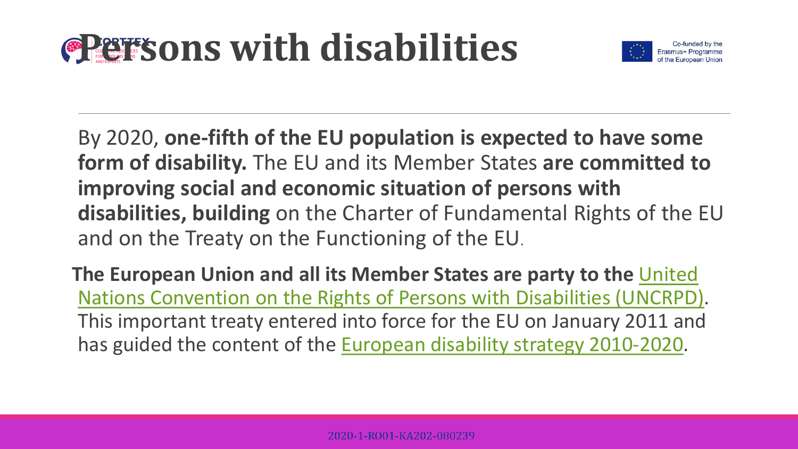# **Persons with disabilities**



By 2020, **one-fifth of the EU population is expected to have some form of disability.** The EU and its Member States **are committed to improving social and economic situation of persons with disabilities, building** on the Charter of Fundamental Rights of the EU and on the Treaty on the Functioning of the EU.

**The European Union and all its Member States are party to the** United [Nations Convention on the Rights of Persons with Disabilities \(UNCRPD\)](http://ec.europa.eu/social/main.jsp?catId=1138&langId=en). This important treaty entered into force for the EU on January 2011 and has guided the content of the [European disability strategy 2010-2020](https://ec.europa.eu/social/main.jsp?catId=1484&langId=en).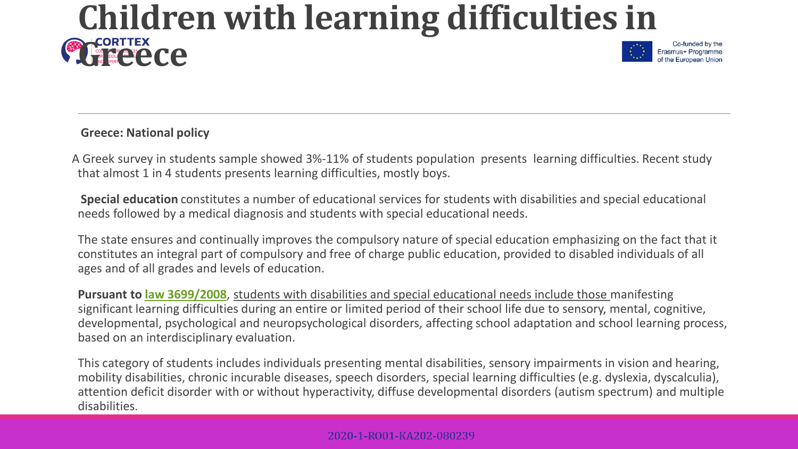## **Children with learning difficulties in GREECE**



### **Greece: National policy**

A Greek survey in students sample showed 3%-11% of students population presents learning difficulties. Recent study that almost 1 in 4 students presents learning difficulties, mostly boys.

**Special education** constitutes a number of educational services for students with disabilities and special educational needs followed by a medical diagnosis and students with special educational needs.

The state ensures and continually improves the compulsory nature of special education emphasizing on the fact that it constitutes an integral part of compulsory and free of charge public education, provided to disabled individuals of all ages and of all grades and levels of education.

**Pursuant to [law 3699/2008](http://www.et.gr/idocs-nph/search/pdfViewerForm.html?args=5C7QrtC22wHtyK1ZYNhP8HdtvSoClrL8Rc9TCA8iZVd5MXD0LzQTLWPU9yLzB8V68knBzLCmTXKaO6fpVZ6Lx3UnKl3nP8NxdnJ5r9cmWyJWelDvWS_18kAEhATUkJb0x1LIdQ163nV9K--td6SIuYHpDLru_jp1nHYxUFkpCZw_KLwy_NL6gizOSKGusZdE)**, students with disabilities and special educational needs include those manifesting significant learning difficulties during an entire or limited period of their school life due to sensory, mental, cognitive, developmental, psychological and neuropsychological disorders, affecting school adaptation and school learning process, based on an interdisciplinary evaluation.

This category of students includes individuals presenting mental disabilities, sensory impairments in vision and hearing, mobility disabilities, chronic incurable diseases, speech disorders, special learning difficulties (e.g. dyslexia, dyscalculia), attention deficit disorder with or without hyperactivity, diffuse developmental disorders (autism spectrum) and multiple disabilities.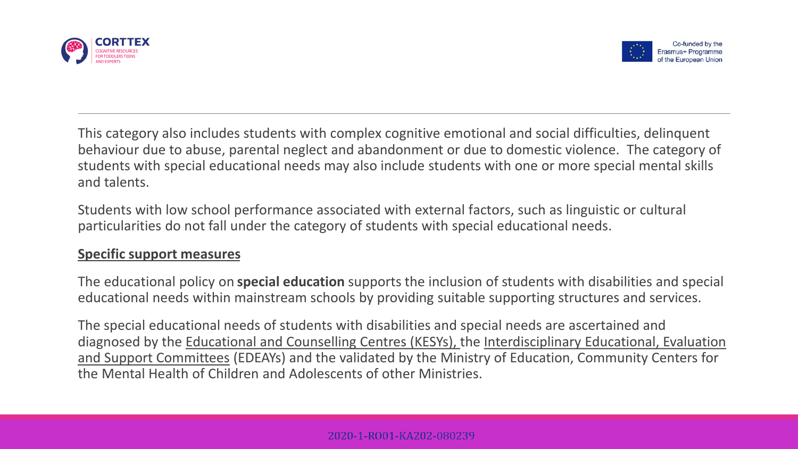



This category also includes students with complex cognitive emotional and social difficulties, delinquent behaviour due to abuse, parental neglect and abandonment or due to domestic violence. The category of students with special educational needs may also include students with one or more special mental skills and talents.

Students with low school performance associated with external factors, such as linguistic or cultural particularities do not fall under the category of students with special educational needs.

## **Specific support measures**

The educational policy on **special education** supports the inclusion of students with disabilities and special educational needs within mainstream schools by providing suitable supporting structures and services.

The special educational needs of students with disabilities and special needs are ascertained and diagnosed by the Educational and Counselling Centres (KESYs), the Interdisciplinary Educational, Evaluation and Support Committees (EDEAYs) and the validated by the Ministry of Education, Community Centers for the Mental Health of Children and Adolescents of other Ministries.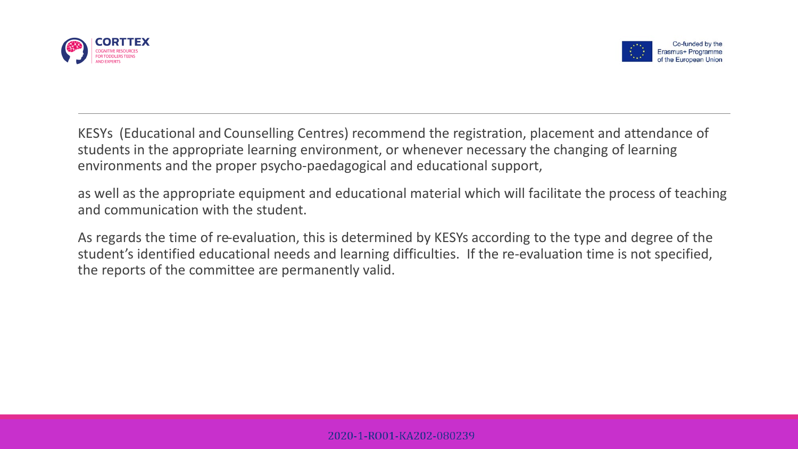



KESYs (Educational and Counselling Centres) recommend the registration, placement and attendance of students in the appropriate learning environment, or whenever necessary the changing of learning environments and the proper psycho-paedagogical and educational support,

as well as the appropriate equipment and educational material which will facilitate the process of teaching and communication with the student.

As regards the time of re-evaluation, this is determined by KESYs according to the type and degree of the student's identified educational needs and learning difficulties. If the re-evaluation time is not specified, the reports of the committee are permanently valid.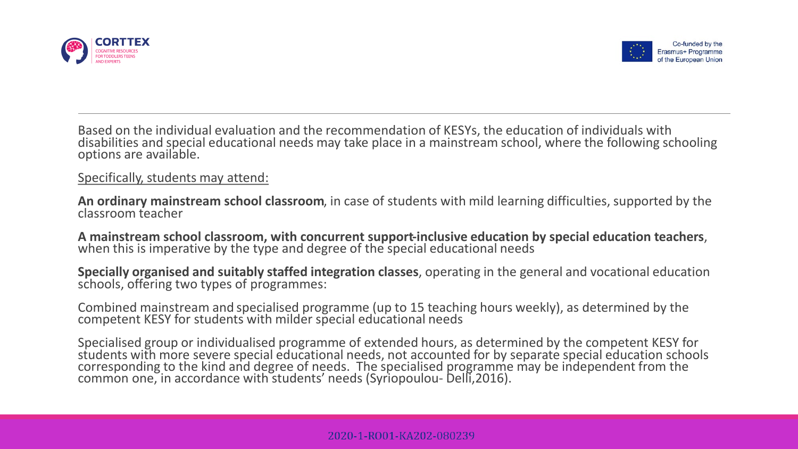



Based on the individual evaluation and the recommendation of KESYs, the education of individuals with disabilities and special educational needs may take place in a mainstream school, where the following schooling options are available.

Specifically, students may attend:

**An ordinary mainstream school classroom**, in case of students with mild learning difficulties, supported by the classroom teacher

**A mainstream school classroom, with concurrent support-inclusive education by special education teachers**, when this is imperative by the type and degree of the special educational needs

**Specially organised and suitably staffed integration classes**, operating in the general and vocational education<br>schools, offering two types of programmes:

Combined mainstream and specialised programme (up to 15 teaching hours weekly), as determined by the competent KESY for students with milder special educational needs

Specialised group or individualised programme of extended hours, as determined by the competent KESY for students with more severe special educational needs, not accounted for by separate special education schools corresponding to the kind and degree of needs. The specialised programme may be independent from the common one, in accordance with students' needs (Syriopoulou- Delli,2016).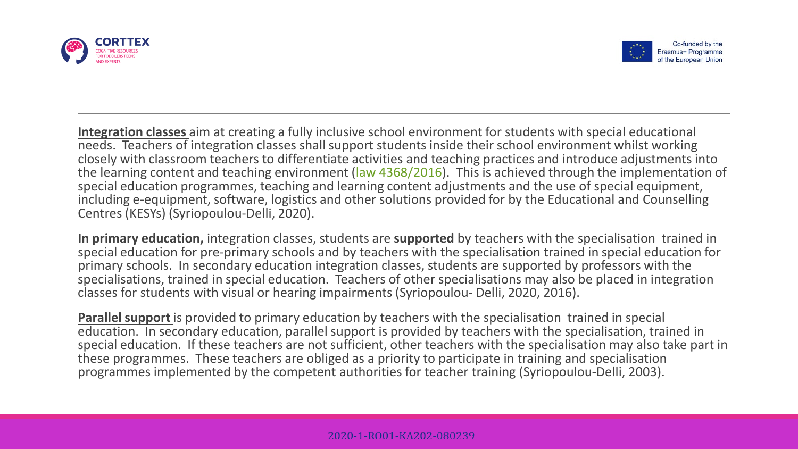



**Integration classes** aim at creating a fully inclusive school environment for students with special educational needs. Teachers of integration classes shall support students inside their school environment whilst working closely with classroom teachers to differentiate activities and teaching practices and introduce adjustments into the learning content and teaching environment ([law 4368/2016\)](http://www.et.gr/idocs-nph/search/pdfViewerForm.html?args=5C7QrtC22wFHp_31M9ESQXdtvSoClrL8Iqk9pJn1S_jtIl9LGdkF53UIxsx942CdyqxSQYNuqAGCF0IfB9HI6qSYtMQEkEHLwnFqmgJSA5WIsluV-nRwO1oKqSe4BlOTSpEWYhszF8P8UqWb_zFijIknvT46_O0IX9aDvOhqCmBx7Hwzgzk9aDAqUeyTrRzc). This is achieved through the implementation of special education programmes, teaching and learning content adjustments and the use of special equipment, including e-equipment, software, logistics and other solutions provided for by the Educational and Counselling Centres (KESYs) (Syriopoulou-Delli, 2020).

**In primary education,** integration classes, students are **supported** by teachers with the specialisation trained in special education for pre-primary schools and by teachers with the specialisation trained in special education for primary schools. In secondary education integration classes, students are supported by professors with the specialisations, trained in special education. Teachers of other specialisations may also be placed in integration classes for students with visual or hearing impairments (Syriopoulou- Delli, 2020, 2016).

**Parallel support** is provided to primary education by teachers with the specialisation trained in special education. In secondary education, parallel support is provided by teachers with the specialisation, trained in special education. If these teachers are not sufficient, other teachers with the specialisation may also take part in these programmes. These teachers are obliged as a priority to participate in training and specialisation programmes implemented by the competent authorities for teacher training (Syriopoulou-Delli, 2003).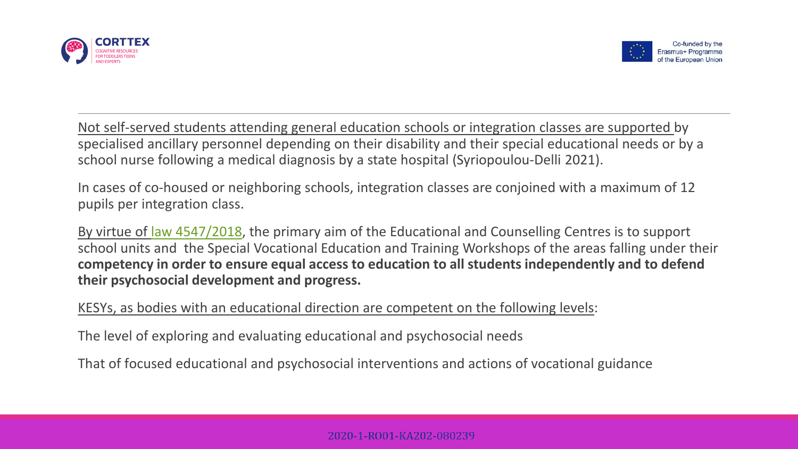



Not self-served students attending general education schools or integration classes are supported by specialised ancillary personnel depending on their disability and their special educational needs or by a school nurse following a medical diagnosis by a state hospital (Syriopoulou-Delli 2021).

In cases of co-housed or neighboring schools, integration classes are conjoined with a maximum of 12 pupils per integration class.

By virtue of [law 4547/2018](http://www.et.gr/idocs-nph/search/pdfViewerForm.html?args=5C7QrtC22wG3UHk-ZeQumndtvSoClrL8sN_CI5tJ5zV5MXD0LzQTLWPU9yLzB8V68knBzLCmTXKaO6fpVZ6Lx3UnKl3nP8NxdnJ5r9cmWyJWelDvWS_18kAEhATUkJb0x1LIdQ163nV9K--td6SIufwsuG5x2FZp4dRmpsuHroxzyOwkWo8OopyrDmjZYcMW), the primary aim of the Educational and Counselling Centres is to support school units and the Special Vocational Education and Training Workshops of the areas falling under their **competency in order to ensure equal access to education to all students independently and to defend their psychosocial development and progress.**

KESYs, as bodies with an educational direction are competent on the following levels:

The level of exploring and evaluating educational and psychosocial needs

That of focused educational and psychosocial interventions and actions of vocational guidance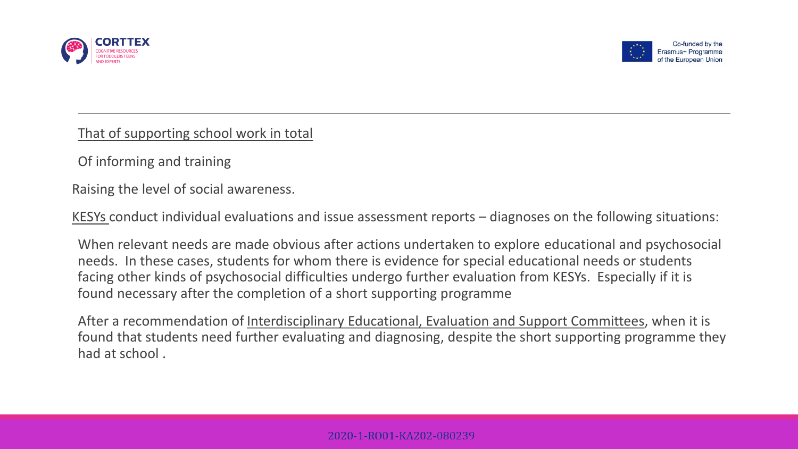



That of supporting school work in total

Of informing and training

Raising the level of social awareness.

KESYs conduct individual evaluations and issue assessment reports – diagnoses on the following situations:

When relevant needs are made obvious after actions undertaken to explore educational and psychosocial needs. In these cases, students for whom there is evidence for special educational needs or students facing other kinds of psychosocial difficulties undergo further evaluation from KESYs. Especially if it is found necessary after the completion of a short supporting programme

After a recommendation of Interdisciplinary Educational, Evaluation and Support Committees, when it is found that students need further evaluating and diagnosing, despite the short supporting programme they had at school .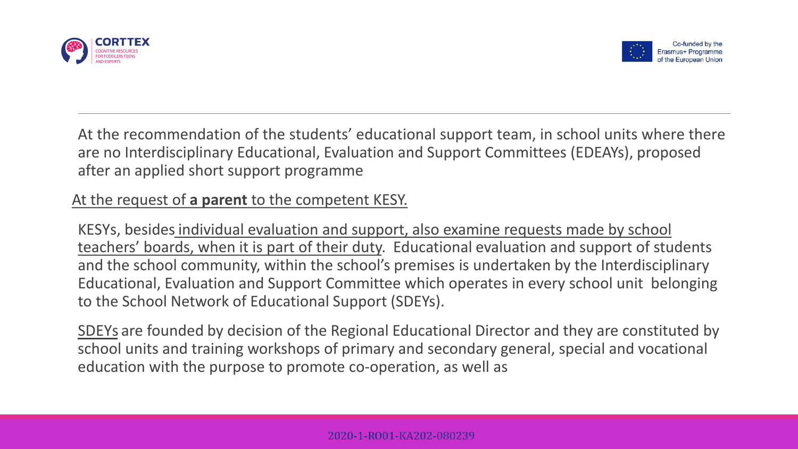



At the recommendation of the students' educational support team, in school units where there are no Interdisciplinary Educational, Evaluation and Support Committees (EDEAYs), proposed after an applied short support programme

## At the request of **a parent** to the competent KESY.

KESYs, besides individual evaluation and support, also examine requests made by school teachers' boards, when it is part of their duty. Educational evaluation and support of students and the school community, within the school's premises is undertaken by the Interdisciplinary Educational, Evaluation and Support Committee which operates in every school unit belonging to the School Network of Educational Support (SDEYs).

SDEYs are founded by decision of the Regional Educational Director and they are constituted by school units and training workshops of primary and secondary general, special and vocational education with the purpose to promote co-operation, as well as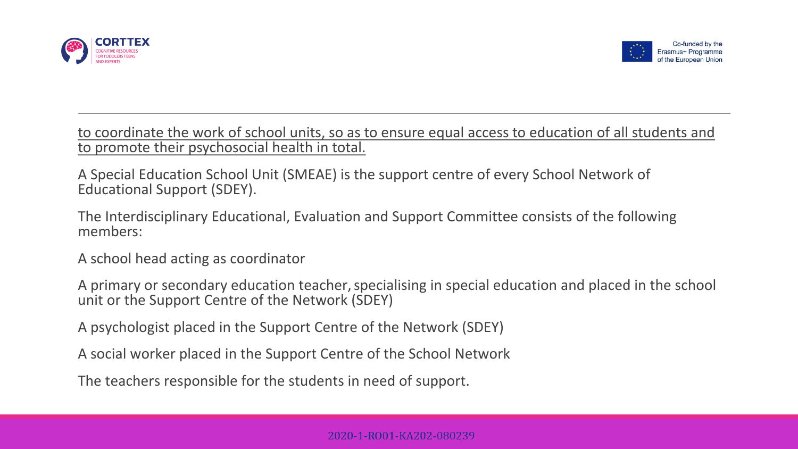



to coordinate the work of school units, so as to ensure equal access to education of all students and to promote their psychosocial health in total.

A Special Education School Unit (SMEAE) is the support centre of every School Network of Educational Support (SDEY).

The Interdisciplinary Educational, Evaluation and Support Committee consists of the following members:

A school head acting as coordinator

A primary or secondary education teacher, specialising in special education and placed in the school unit or the Support Centre of the Network (SDEY)

A psychologist placed in the Support Centre of the Network (SDEY)

A social worker placed in the Support Centre of the School Network

The teachers responsible for the students in need of support.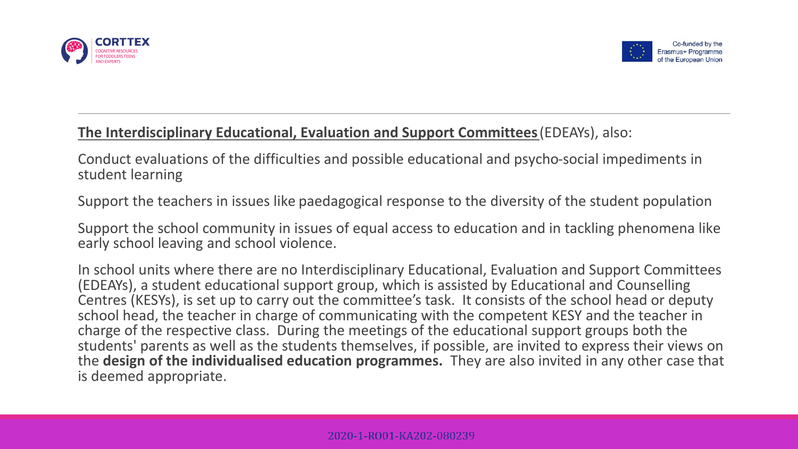



## **The Interdisciplinary Educational, Evaluation and Support Committees** (EDEAYs), also:

Conduct evaluations of the difficulties and possible educational and psycho-social impediments in student learning

Support the teachers in issues like paedagogical response to the diversity of the student population

Support the school community in issues of equal access to education and in tackling phenomena like early school leaving and school violence.

In school units where there are no Interdisciplinary Educational, Evaluation and Support Committees (EDEAYs), a student educational support group, which is assisted by Educational and Counselling Centres (KESYs), is set up to carry out the committee's task. It consists of the school head or deputy school head, the teacher in charge of communicating with the competent KESY and the teacher in charge of the respective class. During the meetings of the educational support groups both the students' parents as well as the students themselves, if possible, are invited to express their views on the **design of the individualised education programmes.** They are also invited in any other case that is deemed appropriate.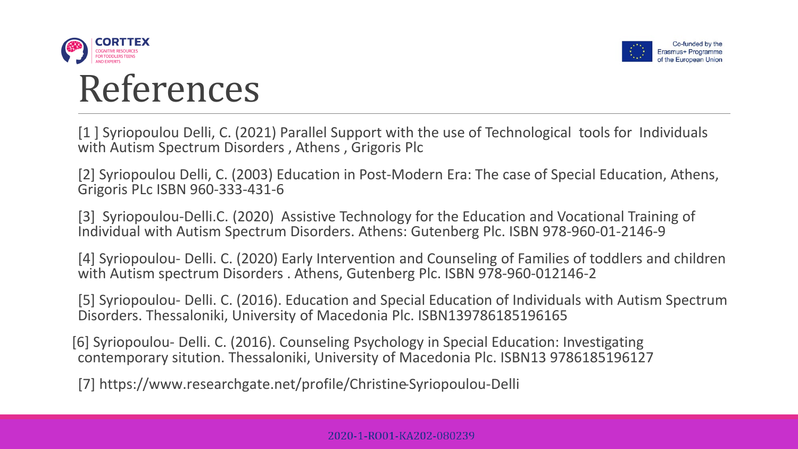



## References

[1 ] Syriopoulou Delli, C. (2021) Parallel Support with the use of Technological tools for Individuals with Autism Spectrum Disorders , Athens , Grigoris Plc

[2] Syriopoulou Delli, C. (2003) Education in Post-Modern Era: The case of Special Education, Athens, Grigoris PLc ISBN 960-333-431-6

[3] Syriopoulou-Delli.C. (2020) Assistive Technology for the Education and Vocational Training of Individual with Autism Spectrum Disorders. Athens: Gutenberg Plc. ISBN 978-960-01-2146-9

[4] Syriopoulou- Delli. C. (2020) Early Intervention and Counseling of Families of toddlers and children with Autism spectrum Disorders . Athens, Gutenberg Plc. ISBN 978-960-012146-2

[5] Syriopoulou- Delli. C. (2016). Education and Special Education of Individuals with Autism Spectrum Disorders. Thessaloniki, University of Macedonia Plc. ISBN139786185196165

[6] Syriopoulou- Delli. C. (2016). Counseling Psychology in Special Education: Investigating contemporary sitution. Thessaloniki, University of Macedonia Plc. ISBN13 9786185196127

[7] https://www.researchgate.net/profile/Christine-Syriopoulou-Delli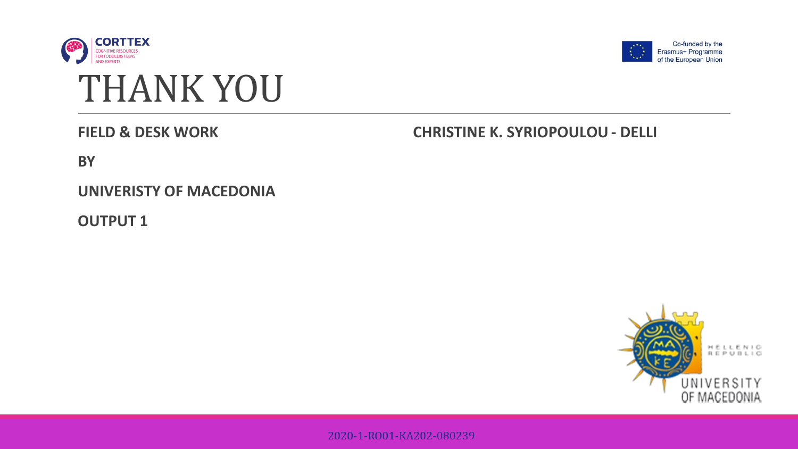





**FIELD & DESK WORK**

## **CHRISTINE K. SYRIOPOULOU - DELLI**

**BY** 

**UNIVERISTY OF MACEDONIA**

**OUTPUT 1**



2020-1-RO01-KA202-080239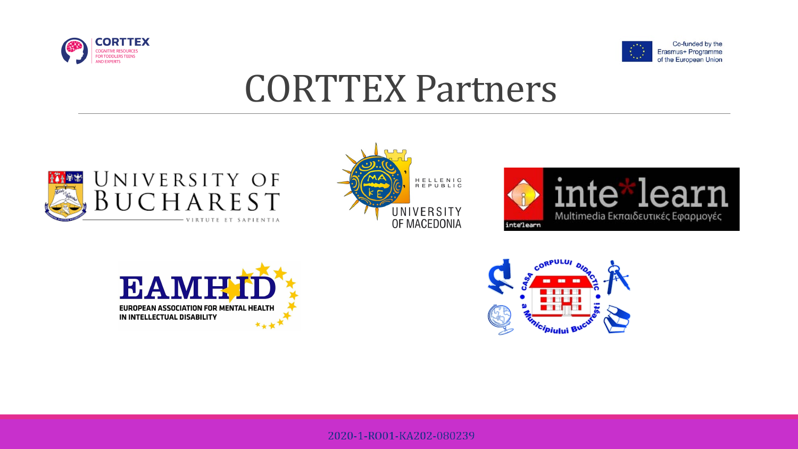



## CORTTEX Partners











#### 2020-1-RO01-KA202-080239